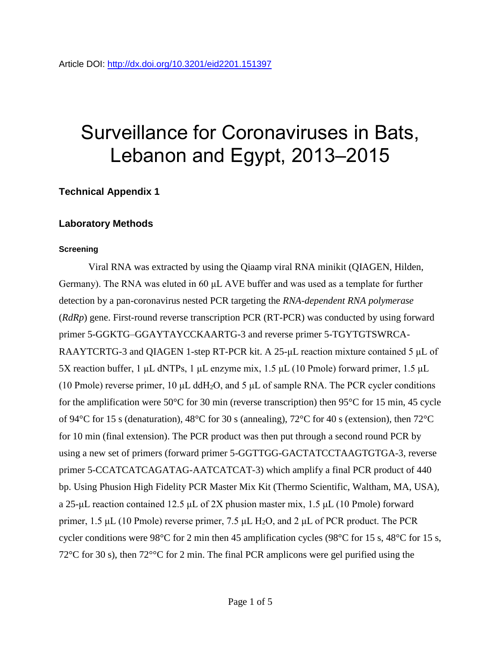# Surveillance for Coronaviruses in Bats, Lebanon and Egypt, 2013–2015

## **Technical Appendix 1**

### **Laboratory Methods**

#### **Screening**

Viral RNA was extracted by using the Qiaamp viral RNA minikit (QIAGEN, Hilden, Germany). The RNA was eluted in 60 μL AVE buffer and was used as a template for further detection by a pan-coronavirus nested PCR targeting the *RNA-dependent RNA polymerase* (*RdRp*) gene. First-round reverse transcription PCR (RT-PCR) was conducted by using forward primer 5-GGKTG–GGAYTAYCCKAARTG-3 and reverse primer 5-TGYTGTSWRCA-RAAYTCRTG-3 and QIAGEN 1-step RT-PCR kit. A 25-μL reaction mixture contained 5 μL of 5X reaction buffer, 1 μL dNTPs, 1 μL enzyme mix, 1.5 μL (10 Pmole) forward primer, 1.5 μL (10 Pmole) reverse primer, 10  $\mu$ L ddH<sub>2</sub>O, and 5  $\mu$ L of sample RNA. The PCR cycler conditions for the amplification were 50°C for 30 min (reverse transcription) then 95°C for 15 min, 45 cycle of 94°C for 15 s (denaturation), 48°C for 30 s (annealing), 72°C for 40 s (extension), then 72°C for 10 min (final extension). The PCR product was then put through a second round PCR by using a new set of primers (forward primer 5-GGTTGG-GACTATCCTAAGTGTGA-3, reverse primer 5-CCATCATCAGATAG-AATCATCAT-3) which amplify a final PCR product of 440 bp. Using Phusion High Fidelity PCR Master Mix Kit (Thermo Scientific, Waltham, MA, USA), a 25-μL reaction contained 12.5 μL of 2X phusion master mix, 1.5 μL (10 Pmole) forward primer, 1.5 μL (10 Pmole) reverse primer, 7.5 μL H<sub>2</sub>O, and 2 μL of PCR product. The PCR cycler conditions were 98°C for 2 min then 45 amplification cycles (98°C for 15 s, 48°C for 15 s, 72°C for 30 s), then 72°°C for 2 min. The final PCR amplicons were gel purified using the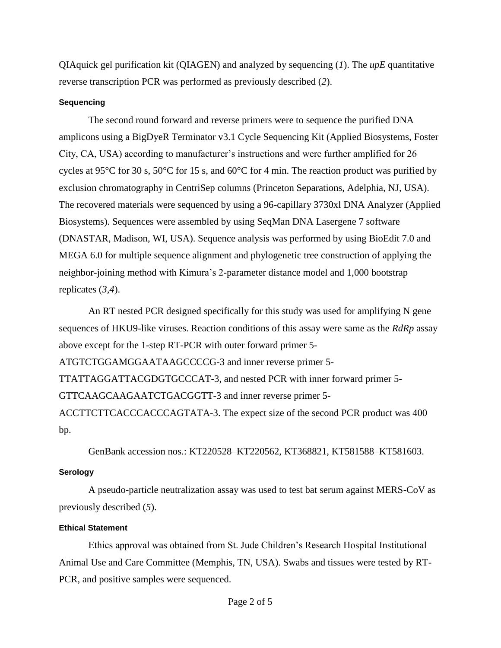QIAquick gel purification kit (QIAGEN) and analyzed by sequencing (*1*). The *upE* quantitative reverse transcription PCR was performed as previously described (*2*).

### **Sequencing**

The second round forward and reverse primers were to sequence the purified DNA amplicons using a BigDyeR Terminator v3.1 Cycle Sequencing Kit (Applied Biosystems, Foster City, CA, USA) according to manufacturer's instructions and were further amplified for 26 cycles at 95°C for 30 s, 50°C for 15 s, and 60°C for 4 min. The reaction product was purified by exclusion chromatography in CentriSep columns (Princeton Separations, Adelphia, NJ, USA). The recovered materials were sequenced by using a 96-capillary 3730xl DNA Analyzer (Applied Biosystems). Sequences were assembled by using SeqMan DNA Lasergene 7 software (DNASTAR, Madison, WI, USA). Sequence analysis was performed by using BioEdit 7.0 and MEGA 6.0 for multiple sequence alignment and phylogenetic tree construction of applying the neighbor-joining method with Kimura's 2-parameter distance model and 1,000 bootstrap replicates (*3*,*4*).

An RT nested PCR designed specifically for this study was used for amplifying N gene sequences of HKU9-like viruses. Reaction conditions of this assay were same as the *RdRp* assay above except for the 1-step RT-PCR with outer forward primer 5- ATGTCTGGAMGGAATAAGCCCCG-3 and inner reverse primer 5- TTATTAGGATTACGDGTGCCCAT-3, and nested PCR with inner forward primer 5- GTTCAAGCAAGAATCTGACGGTT-3 and inner reverse primer 5- ACCTTCTTCACCCACCCAGTATA-3. The expect size of the second PCR product was 400

bp.

GenBank accession nos.: KT220528–KT220562, KT368821, KT581588–KT581603.

### **Serology**

A pseudo-particle neutralization assay was used to test bat serum against MERS-CoV as previously described (*5*).

### **Ethical Statement**

Ethics approval was obtained from St. Jude Children's Research Hospital Institutional Animal Use and Care Committee (Memphis, TN, USA). Swabs and tissues were tested by RT-PCR, and positive samples were sequenced.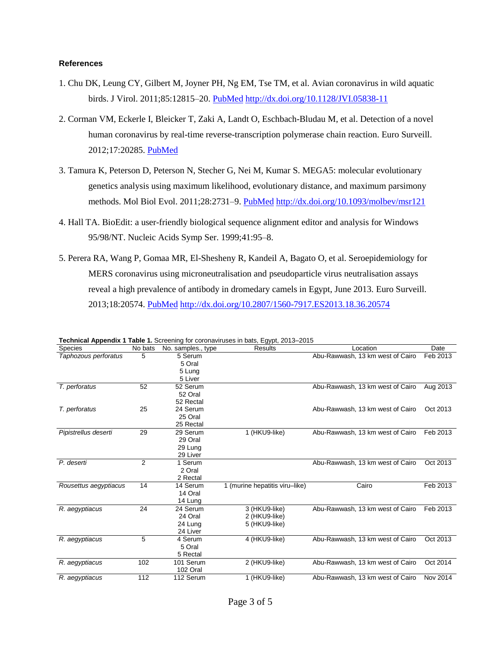#### **References**

- 1. Chu DK, Leung CY, Gilbert M, Joyner PH, Ng EM, Tse TM, et al. Avian coronavirus in wild aquatic birds. J Virol. 2011;85:12815–20. [PubMed](http://www.ncbi.nlm.nih.gov/entrez/query.fcgi?cmd=Retrieve&db=PubMed&list_uids=21957308&dopt=Abstract) <http://dx.doi.org/10.1128/JVI.05838-11>
- 2. Corman VM, Eckerle I, Bleicker T, Zaki A, Landt O, Eschbach-Bludau M, et al. Detection of a novel human coronavirus by real-time reverse-transcription polymerase chain reaction. Euro Surveill. 2012;17:20285. [PubMed](http://www.ncbi.nlm.nih.gov/entrez/query.fcgi?cmd=Retrieve&db=PubMed&list_uids=23041020&dopt=Abstract)
- 3. Tamura K, Peterson D, Peterson N, Stecher G, Nei M, Kumar S. MEGA5: molecular evolutionary genetics analysis using maximum likelihood, evolutionary distance, and maximum parsimony methods. Mol Biol Evol. 2011;28:2731–9. [PubMed](http://www.ncbi.nlm.nih.gov/entrez/query.fcgi?cmd=Retrieve&db=PubMed&list_uids=21546353&dopt=Abstract) <http://dx.doi.org/10.1093/molbev/msr121>
- 4. Hall TA. BioEdit: a user-friendly biological sequence alignment editor and analysis for Windows 95/98/NT. Nucleic Acids Symp Ser. 1999;41:95–8.
- 5. Perera RA, Wang P, Gomaa MR, El-Shesheny R, Kandeil A, Bagato O, et al. Seroepidemiology for MERS coronavirus using microneutralisation and pseudoparticle virus neutralisation assays reveal a high prevalence of antibody in dromedary camels in Egypt, June 2013. Euro Surveill. 2013;18:20574. [PubMed](http://www.ncbi.nlm.nih.gov/entrez/query.fcgi?cmd=Retrieve&db=PubMed&list_uids=24079378&dopt=Abstract) <http://dx.doi.org/10.2807/1560-7917.ES2013.18.36.20574>

| <b>Species</b>        | No bats | No. samples., type | <b>Results</b>                 | Location                         | Date     |
|-----------------------|---------|--------------------|--------------------------------|----------------------------------|----------|
| Taphozous perforatus  | 5       | 5 Serum            |                                | Abu-Rawwash, 13 km west of Cairo | Feb 2013 |
|                       |         | 5 Oral             |                                |                                  |          |
|                       |         | 5 Lung             |                                |                                  |          |
|                       |         | 5 Liver            |                                |                                  |          |
| T. perforatus         | 52      | 52 Serum           |                                | Abu-Rawwash, 13 km west of Cairo | Aug 2013 |
|                       |         | 52 Oral            |                                |                                  |          |
|                       |         | 52 Rectal          |                                |                                  |          |
| T. perforatus         | 25      | 24 Serum           |                                | Abu-Rawwash, 13 km west of Cairo | Oct 2013 |
|                       |         | 25 Oral            |                                |                                  |          |
|                       |         | 25 Rectal          |                                |                                  |          |
| Pipistrellus deserti  | 29      | 29 Serum           | 1 (HKU9-like)                  | Abu-Rawwash, 13 km west of Cairo | Feb 2013 |
|                       |         | 29 Oral            |                                |                                  |          |
|                       |         | 29 Lung            |                                |                                  |          |
|                       |         | 29 Liver           |                                |                                  |          |
| P. deserti            | 2       | 1 Serum            |                                | Abu-Rawwash, 13 km west of Cairo | Oct 2013 |
|                       |         | 2 Oral             |                                |                                  |          |
|                       |         | 2 Rectal           |                                |                                  |          |
| Rousettus aegyptiacus | 14      | 14 Serum           | 1 (murine hepatitis viru-like) | Cairo                            | Feb 2013 |
|                       |         | 14 Oral            |                                |                                  |          |
|                       |         | 14 Lung            |                                |                                  |          |
| R. aegyptiacus        | 24      | 24 Serum           | 3 (HKU9-like)                  | Abu-Rawwash, 13 km west of Cairo | Feb 2013 |
|                       |         | 24 Oral            | 2 (HKU9-like)                  |                                  |          |
|                       |         | 24 Lung            | 5 (HKU9-like)                  |                                  |          |
|                       |         | 24 Liver           |                                |                                  |          |
| R. aegyptiacus        | 5       | 4 Serum            | 4 (HKU9-like)                  | Abu-Rawwash, 13 km west of Cairo | Oct 2013 |
|                       |         | 5 Oral             |                                |                                  |          |
|                       |         | 5 Rectal           |                                |                                  |          |
| R. aegyptiacus        | 102     | 101 Serum          | 2 (HKU9-like)                  | Abu-Rawwash, 13 km west of Cairo | Oct 2014 |
|                       |         | 102 Oral           |                                |                                  |          |
| R. aegyptiacus        | 112     | 112 Serum          | 1 (HKU9-like)                  | Abu-Rawwash, 13 km west of Cairo | Nov 2014 |

**Technical Appendix 1 Table 1.** Screening for coronaviruses in bats, Egypt, 2013–2015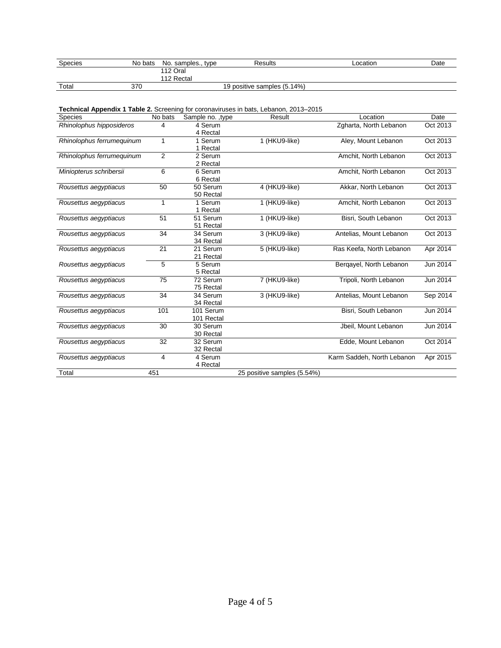| Species | No bats | No. samples., type | Results                     | ∟ocation | Date |
|---------|---------|--------------------|-----------------------------|----------|------|
|         |         | 112 Oral           |                             |          |      |
|         |         | 112 Rectal         |                             |          |      |
| Total   | 370     |                    | 19 positive samples (5.14%) |          |      |

| <b>Technical Appendix 1 Table 2.</b> Screening for coronaviruses in bats, Lebanon, 2013–2015 |  |
|----------------------------------------------------------------------------------------------|--|
|                                                                                              |  |

| <b>Species</b>            | No bats | Sample no. , type    | Result                      | Location                   | Date     |
|---------------------------|---------|----------------------|-----------------------------|----------------------------|----------|
| Rhinolophus hipposideros  | 4       | 4 Serum              |                             | Zgharta, North Lebanon     | Oct 2013 |
|                           |         | 4 Rectal             |                             |                            |          |
| Rhinolophus ferrumequinum | 1       | 1 Serum              | 1 (HKU9-like)               | Aley, Mount Lebanon        | Oct 2013 |
|                           |         | 1 Rectal             |                             |                            |          |
| Rhinolophus ferrumequinum | 2       | 2 Serum              |                             | Amchit. North Lebanon      | Oct 2013 |
|                           |         | 2 Rectal             |                             |                            |          |
| Miniopterus schribersii   | 6       | 6 Serum              |                             | Amchit, North Lebanon      | Oct 2013 |
|                           |         | 6 Rectal             |                             |                            |          |
| Rousettus aegyptiacus     | 50      | 50 Serum             | 4 (HKU9-like)               | Akkar, North Lebanon       | Oct 2013 |
|                           |         | 50 Rectal            |                             |                            |          |
| Rousettus aegyptiacus     | 1       | 1 Serum              | 1 (HKU9-like)               | Amchit, North Lebanon      | Oct 2013 |
|                           |         | 1 Rectal             |                             |                            |          |
| Rousettus aegyptiacus     | 51      | 51 Serum             | 1 (HKU9-like)               | Bisri, South Lebanon       | Oct 2013 |
|                           |         | 51 Rectal            |                             |                            |          |
| Rousettus aegyptiacus     | 34      | 34 Serum             | 3 (HKU9-like)               | Antelias, Mount Lebanon    | Oct 2013 |
|                           |         | 34 Rectal            |                             |                            |          |
| Rousettus aegyptiacus     | 21      | 21 Serum             | 5 (HKU9-like)               | Ras Keefa, North Lebanon   | Apr 2014 |
|                           |         | 21 Rectal            |                             |                            |          |
| Rousettus aegyptiacus     | 5       | $\overline{5}$ Serum |                             | Bergayel, North Lebanon    | Jun 2014 |
|                           |         | 5 Rectal             |                             |                            |          |
| Rousettus aegyptiacus     | 75      | 72 Serum             | 7 (HKU9-like)               | Tripoli, North Lebanon     | Jun 2014 |
|                           |         | 75 Rectal            |                             |                            |          |
| Rousettus aegyptiacus     | 34      | 34 Serum             | 3 (HKU9-like)               | Antelias, Mount Lebanon    | Sep 2014 |
|                           |         | 34 Rectal            |                             |                            |          |
| Rousettus aegyptiacus     | 101     | 101 Serum            |                             | Bisri, South Lebanon       | Jun 2014 |
|                           |         | 101 Rectal           |                             |                            |          |
| Rousettus aegyptiacus     | 30      | 30 Serum             |                             | Jbeil, Mount Lebanon       | Jun 2014 |
|                           |         | 30 Rectal            |                             |                            |          |
| Rousettus aegyptiacus     | 32      | 32 Serum             |                             | Edde, Mount Lebanon        | Oct 2014 |
|                           |         | 32 Rectal            |                             |                            |          |
| Rousettus aegyptiacus     | 4       | 4 Serum              |                             | Karm Saddeh, North Lebanon | Apr 2015 |
|                           |         | 4 Rectal             |                             |                            |          |
| Total                     | 451     |                      | 25 positive samples (5.54%) |                            |          |